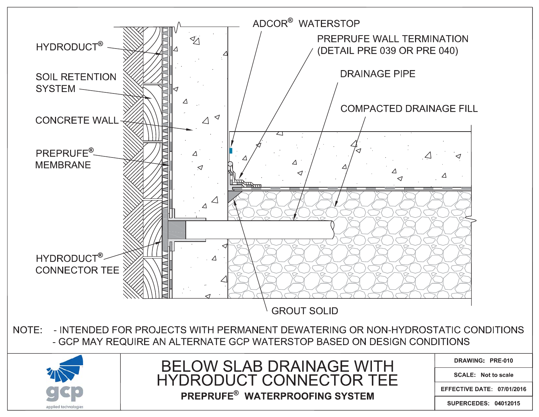